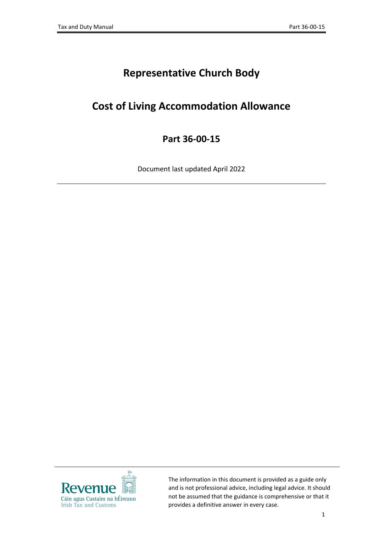# **Representative Church Body**

## **Cost of Living Accommodation Allowance**

### **Part 36-00-15**

Document last updated April 2022



The information in this document is provided as a guide only and is not professional advice, including legal advice. It should not be assumed that the guidance is comprehensive or that it provides a definitive answer in every case.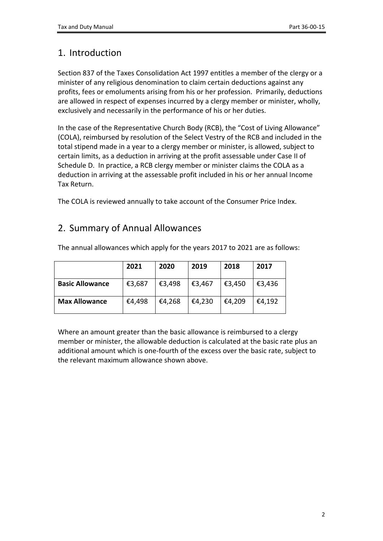#### 1. Introduction

Section 837 of the Taxes Consolidation Act 1997 entitles a member of the clergy or a minister of any religious denomination to claim certain deductions against any profits, fees or emoluments arising from his or her profession. Primarily, deductions are allowed in respect of expenses incurred by a clergy member or minister, wholly, exclusively and necessarily in the performance of his or her duties.

In the case of the Representative Church Body (RCB), the "Cost of Living Allowance" (COLA), reimbursed by resolution of the Select Vestry of the RCB and included in the total stipend made in a year to a clergy member or minister, is allowed, subject to certain limits, as a deduction in arriving at the profit assessable under Case II of Schedule D. In practice, a RCB clergy member or minister claims the COLA as a deduction in arriving at the assessable profit included in his or her annual Income Tax Return.

The COLA is reviewed annually to take account of the Consumer Price Index.

#### 2. Summary of Annual Allowances

|                        | 2021   | 2020   | 2019   | 2018   | 2017   |
|------------------------|--------|--------|--------|--------|--------|
| <b>Basic Allowance</b> | €3,687 | €3,498 | €3,467 | €3,450 | €3,436 |
| <b>Max Allowance</b>   | €4,498 | €4,268 | €4,230 | €4,209 | €4,192 |

The annual allowances which apply for the years 2017 to 2021 are as follows:

Where an amount greater than the basic allowance is reimbursed to a clergy member or minister, the allowable deduction is calculated at the basic rate plus an additional amount which is one-fourth of the excess over the basic rate, subject to the relevant maximum allowance shown above.